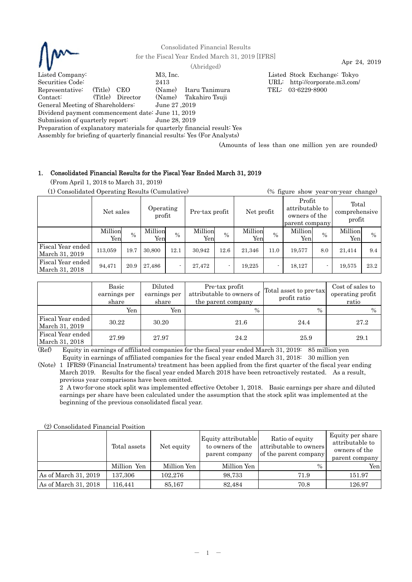

(Amounts of less than one million yen are rounded)

# 1. Consolidated Financial Results for the Fiscal Year Ended March 31, 2019

(From April 1, 2018 to March 31, 2019)

(1) Consolidated Operating Results (Cumulative) (% figure show year-on-year change)

|                                     | Net sales      |      | Operating<br>profit |      | Pre-tax profit |      | Net profit     |        | Profit<br>attributable to<br>owners of the<br>parent company |      | Total<br>comprehensive<br>profit |               |
|-------------------------------------|----------------|------|---------------------|------|----------------|------|----------------|--------|--------------------------------------------------------------|------|----------------------------------|---------------|
|                                     | Million<br>Yen | $\%$ | Million<br>Yen      | $\%$ | Million<br>Yen | $\%$ | Million<br>Yen | $\%$   | Million<br>Yen                                               | $\%$ | Million<br>Yen                   | $\frac{0}{0}$ |
| Fiscal Year ended<br>March 31, 2019 | 113,059        | 19.7 | 30,800              | 12.1 | 30,942         | 12.6 | 21,346         | 11.0   | 19,577                                                       | 8.0  | 21,414                           | 9.4           |
| Fiscal Year ended<br>March 31, 2018 | 94,471         | 20.9 | 27,486              |      | 27,472         |      | 19,225         | $\sim$ | 18,127                                                       |      | 19.575                           | 23.2          |

|                                     | Basic<br>earnings per<br>share | Diluted<br>earnings per<br>share | Pre-tax profit<br>attributable to owners of<br>the parent company | Total asset to pre-tax<br>profit ratio | Cost of sales to<br>operating profit<br>ratio |
|-------------------------------------|--------------------------------|----------------------------------|-------------------------------------------------------------------|----------------------------------------|-----------------------------------------------|
|                                     | Yen                            | Yen                              | $\%$                                                              | $\frac{0}{0}$                          | $\frac{0}{0}$                                 |
| Fiscal Year ended<br>March 31, 2019 | 30.22                          | 30.20                            | 21.6                                                              | 24.4                                   | 27.2                                          |
| Fiscal Year ended<br>March 31, 2018 | 27.99                          | 27.97                            | 24.2                                                              | 25.9                                   | 29.1                                          |

(Ref) Equity in earnings of affiliated companies for the fiscal year ended March 31, 2019: 85 million yen Equity in earnings of affiliated companies for the fiscal year ended March 31, 2018: 30 million yen

(Note) 1 IFRS9 (Financial Instruments) treatment has been applied from the first quarter of the fiscal year ending March 2019. Results for the fiscal year ended March 2018 have been retroactively restated. As a result, previous year comparisons have been omitted.

2 A two-for-one stock split was implemented effective October 1, 2018. Basic earnings per share and diluted earnings per share have been calculated under the assumption that the stock split was implemented at the beginning of the previous consolidated fiscal year.

| (2) Consolidated Financial Position |              |             |                                                           |                                                                    |                                                                        |
|-------------------------------------|--------------|-------------|-----------------------------------------------------------|--------------------------------------------------------------------|------------------------------------------------------------------------|
|                                     | Total assets | Net equity  | Equity attributable<br>to owners of the<br>parent company | Ratio of equity<br>attributable to owners<br>of the parent company | Equity per share<br>attributable to<br>owners of the<br>parent company |
|                                     | Million Yen  | Million Yen | Million Yen                                               | $\%$                                                               | Yenl                                                                   |
| As of March 31, 2019                | 137,306      | 102.276     | 98,733                                                    | 71.9                                                               | 151.97                                                                 |
| As of March 31, 2018                | 116.441      | 85,167      | 82.484                                                    | 70.8                                                               | 126.97                                                                 |

 $(2)$  Consolidated Financial Position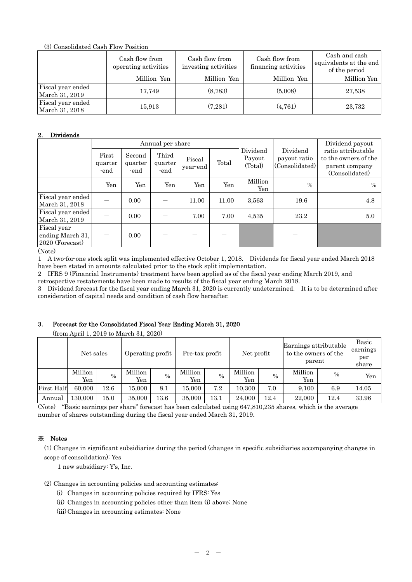(3) Consolidated Cash Flow Position

|                                     | Cash flow from<br>operating activities | Cash flow from<br>investing activities | Cash flow from<br>financing activities | Cash and cash<br>equivalents at the end<br>of the period |
|-------------------------------------|----------------------------------------|----------------------------------------|----------------------------------------|----------------------------------------------------------|
|                                     | Million Yen                            | Million Yen                            | Million Yen                            | Million Yen                                              |
| Fiscal year ended<br>March 31, 2019 | 17,749                                 | (8,783)                                | (5,008)                                | 27,538                                                   |
| Fiscal year ended<br>March 31, 2018 | 15,913                                 | (7,281)                                | (4, 761)                               | 23,732                                                   |

## 2. Dividends

|                                                                                                                       |                          |                           | Annual per share         |                    |       |                               |                                            | Dividend payout                                                                |
|-----------------------------------------------------------------------------------------------------------------------|--------------------------|---------------------------|--------------------------|--------------------|-------|-------------------------------|--------------------------------------------|--------------------------------------------------------------------------------|
|                                                                                                                       | First<br>quarter<br>-end | Second<br>quarter<br>-end | Third<br>quarter<br>-end | Fiscal<br>year end | Total | Dividend<br>Payout<br>(Total) | Dividend<br>payout ratio<br>(Consolidated) | ratio attributable<br>to the owners of the<br>parent company<br>(Consolidated) |
|                                                                                                                       | Yen                      | Yen                       | Yen                      | Yen                | Yen   | Million<br>Yen                | $\%$                                       | $\frac{0}{0}$                                                                  |
| Fiscal year ended<br>March 31, 2018                                                                                   |                          | 0.00                      |                          | 11.00              | 11.00 | 3,563                         | 19.6                                       | 4.8                                                                            |
| Fiscal year ended<br>March 31, 2019                                                                                   |                          | 0.00                      |                          | 7.00               | 7.00  | 4,535                         | 23.2                                       | 5.0                                                                            |
| Fiscal year<br>ending March 31,<br>$2020$ (Forecast)<br>$(\mathbf{N}^{\mathsf{T}} \cdot \mathbf{I} \cdot \mathbf{N})$ | —                        | 0.00                      |                          |                    |       |                               |                                            |                                                                                |

(Note)

1 A two-for-one stock split was implemented effective October 1, 2018. Dividends for fiscal year ended March 2018 have been stated in amounts calculated prior to the stock split implementation.

2 IFRS 9 (Financial Instruments) treatment have been applied as of the fiscal year ending March 2019, and retrospective restatements have been made to results of the fiscal year ending March 2018.

3 Dividend forecast for the fiscal year ending March 31, 2020 is currently undetermined. It is to be determined after consideration of capital needs and condition of cash flow hereafter.

# 3. Forecast for the Consolidated Fiscal Year Ending March 31, 2020

(from April 1, 2019 to March 31, 2020)

|                   | Net sales      |      | Operating profit |      |                | Pre-tax profit |                | Net profit    |                | Earnings attributable<br>to the owners of the<br>parent |              |
|-------------------|----------------|------|------------------|------|----------------|----------------|----------------|---------------|----------------|---------------------------------------------------------|--------------|
|                   | Million<br>Yen | $\%$ | Million<br>Yen   | $\%$ | Million<br>Yen | $\%$           | Million<br>Yen | $\frac{0}{0}$ | Million<br>Yen | $\frac{0}{0}$                                           | share<br>Yen |
| <b>First Half</b> | 60,000         | 12.6 | 15.000           | 8.1  | 15.000         | 7.2            | 10.300         | 7.0           | 9.100          | 6.9                                                     | 14.05        |
| Annual            | 130,000        | 15.0 | 35,000           | 13.6 | 35,000         | 13.1           | 24,000         | 12.4          | 22,000         | 12.4                                                    | 33.96        |

(Note) "Basic earnings per share" forecast has been calculated using 647,810,235 shares, which is the average number of shares outstanding during the fiscal year ended March 31, 2019.

# ※ Notes

(1) Changes in significant subsidiaries during the period (changes in specific subsidiaries accompanying changes in scope of consolidation): Yes

1 new subsidiary: Y's, Inc.

(2) Changes in accounting policies and accounting estimates:

- (i) Changes in accounting policies required by IFRS: Yes
- (ii) Changes in accounting policies other than item (i) above: None

(iii) Changes in accounting estimates: None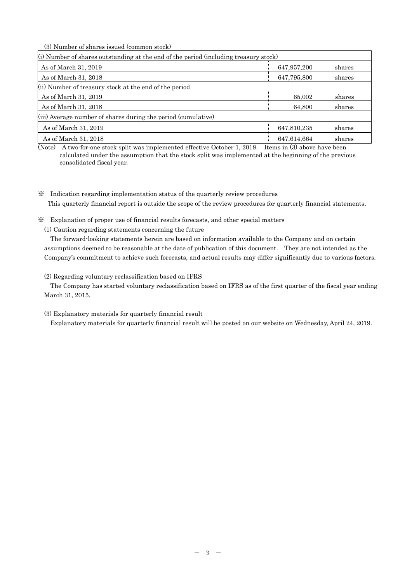(3) Number of shares issued (common stock)

| (i) Number of shares outstanding at the end of the period (including treasury stock) |             |        |
|--------------------------------------------------------------------------------------|-------------|--------|
| As of March 31, 2019                                                                 | 647,957,200 | shares |
| As of March 31, 2018                                                                 | 647,795,800 | shares |
| (ii) Number of treasury stock at the end of the period                               |             |        |
| As of March 31, 2019                                                                 | 65,002      | shares |
| As of March 31, 2018                                                                 | 64,800      | shares |
| (iii) Average number of shares during the period (cumulative)                        |             |        |
| As of March 31, 2019                                                                 | 647,810,235 | shares |
| As of March 31, 2018                                                                 | 647,614,664 | shares |

(Note) A two-for-one stock split was implemented effective October 1, 2018. Items in (3) above have been calculated under the assumption that the stock split was implemented at the beginning of the previous consolidated fiscal year.

※ Indication regarding implementation status of the quarterly review procedures This quarterly financial report is outside the scope of the review procedures for quarterly financial statements.

※ Explanation of proper use of financial results forecasts, and other special matters

(1) Caution regarding statements concerning the future

The forward-looking statements herein are based on information available to the Company and on certain assumptions deemed to be reasonable at the date of publication of this document. They are not intended as the Company's commitment to achieve such forecasts, and actual results may differ significantly due to various factors.

(2) Regarding voluntary reclassification based on IFRS

The Company has started voluntary reclassification based on IFRS as of the first quarter of the fiscal year ending March 31, 2015.

(3) Explanatory materials for quarterly financial result

Explanatory materials for quarterly financial result will be posted on our website on Wednesday, April 24, 2019.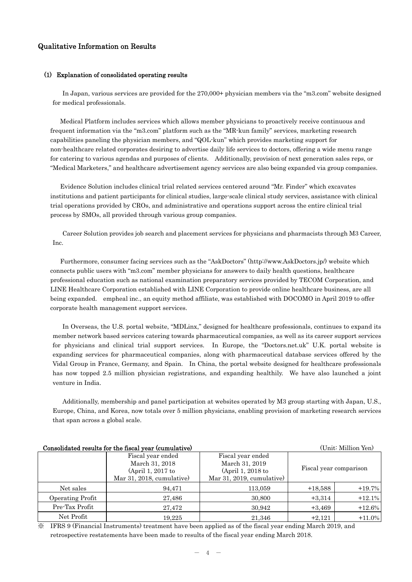# Qualitative Information on Results

### (1) Explanation of consolidated operating results

In Japan, various services are provided for the 270,000+ physician members via the "m3.com" website designed for medical professionals.

Medical Platform includes services which allows member physicians to proactively receive continuous and frequent information via the "m3.com" platform such as the "MR-kun family" services, marketing research capabilities paneling the physician members, and "QOL-kun" which provides marketing support for non-healthcare related corporates desiring to advertise daily life services to doctors, offering a wide menu range for catering to various agendas and purposes of clients. Additionally, provision of next generation sales reps, or "Medical Marketers," and healthcare advertisement agency services are also being expanded via group companies.

Evidence Solution includes clinical trial related services centered around "Mr. Finder" which excavates institutions and patient participants for clinical studies, large-scale clinical study services, assistance with clinical trial operations provided by CROs, and administrative and operations support across the entire clinical trial process by SMOs, all provided through various group companies.

Career Solution provides job search and placement services for physicians and pharmacists through M3 Career, Inc.

Furthermore, consumer facing services such as the "AskDoctors" (http://www.AskDoctors.jp/) website which connects public users with "m3.com" member physicians for answers to daily health questions, healthcare professional education such as national examination preparatory services provided by TECOM Corporation, and LINE Healthcare Corporation established with LINE Corporation to provide online healthcare business, are all being expanded. empheal inc., an equity method affiliate, was established with DOCOMO in April 2019 to offer corporate health management support services.

In Overseas, the U.S. portal website, "MDLinx," designed for healthcare professionals, continues to expand its member network based services catering towards pharmaceutical companies, as well as its career support services for physicians and clinical trial support services. In Europe, the "Doctors.net.uk" U.K. portal website is expanding services for pharmaceutical companies, along with pharmaceutical database services offered by the Vidal Group in France, Germany, and Spain. In China, the portal website designed for healthcare professionals has now topped 2.5 million physician registrations, and expanding healthily. We have also launched a joint venture in India.

Additionally, membership and panel participation at websites operated by M3 group starting with Japan, U.S., Europe, China, and Korea, now totals over 5 million physicians, enabling provision of marketing research services that span across a global scale.

| (Unit: Million Yen)<br>Consolidated results for the fiscal year (cumulative) |                                               |                                                                 |           |                        |  |  |  |  |
|------------------------------------------------------------------------------|-----------------------------------------------|-----------------------------------------------------------------|-----------|------------------------|--|--|--|--|
|                                                                              | Fiscal year ended<br>March 31, 2018           |                                                                 |           |                        |  |  |  |  |
|                                                                              | (April 1, 2017 to<br>Mar 31, 2018, cumulative | March 31, 2019<br>(April 1, 2018 to<br>Mar 31, 2019, cumulative |           | Fiscal year comparison |  |  |  |  |
| Net sales                                                                    | 94,471                                        | 113,059                                                         | $+18,588$ | $+19.7%$               |  |  |  |  |
| Operating Profit                                                             | 27,486                                        | 30,800                                                          | $+3,314$  | $+12.1%$               |  |  |  |  |
| Pre-Tax Profit                                                               | 27,472                                        | 30,942                                                          | $+3,469$  | $+12.6\%$              |  |  |  |  |
| Net Profit                                                                   | 19.225                                        | 21,346                                                          | $+2,121$  | $+11.0%$               |  |  |  |  |

※ IFRS 9 (Financial Instruments) treatment have been applied as of the fiscal year ending March 2019, and retrospective restatements have been made to results of the fiscal year ending March 2018.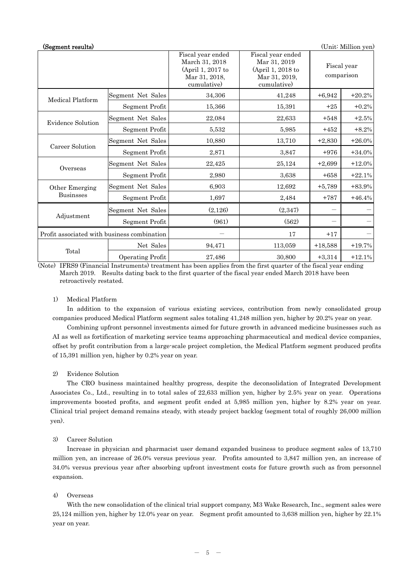| (Segment results)                           |                         |                                                                                          |                                                                                        |           | (Unit: Million yen)       |
|---------------------------------------------|-------------------------|------------------------------------------------------------------------------------------|----------------------------------------------------------------------------------------|-----------|---------------------------|
|                                             |                         | Fiscal year ended<br>March 31, 2018<br>(April 1, 2017 to<br>Mar 31, 2018,<br>cumulative) | Fiscal year ended<br>Mar 31, 2019<br>(April 1, 2018 to<br>Mar 31, 2019,<br>cumulative) |           | Fiscal year<br>comparison |
| Medical Platform                            | Segment Net Sales       | 34,306                                                                                   | 41,248                                                                                 | $+6,942$  | $+20.2%$                  |
|                                             | Segment Profit          | 15,366                                                                                   | 15,391                                                                                 | $+25$     | $+0.2%$                   |
| Evidence Solution                           | Segment Net Sales       | 22,084                                                                                   | 22,633                                                                                 | $+548$    | $+2.5%$                   |
|                                             | Segment Profit          | 5,532                                                                                    | 5,985                                                                                  | $+452$    | $+8.2%$                   |
|                                             | Segment Net Sales       | 10,880                                                                                   | 13,710                                                                                 | $+2,830$  | $+26.0%$                  |
| Career Solution                             | Segment Profit          | 2,871                                                                                    | 3,847                                                                                  | $+976$    | $+34.0%$                  |
| Overseas                                    | Segment Net Sales       | 22,425                                                                                   | 25,124                                                                                 | $+2,699$  | $+12.0%$                  |
|                                             | Segment Profit          | 2,980                                                                                    | 3,638                                                                                  | $+658$    | $+22.1%$                  |
| Other Emerging                              | Segment Net Sales       | 6,903                                                                                    | 12,692                                                                                 | $+5,789$  | $+83.9%$                  |
| <b>Businsses</b>                            | Segment Profit          | 1,697                                                                                    | 2,484                                                                                  | $+787$    | $+46.4%$                  |
|                                             | Segment Net Sales       | (2,126)                                                                                  | (2,347)                                                                                |           |                           |
| Adjustment                                  | Segment Profit          | (961)                                                                                    | (562)                                                                                  |           |                           |
| Profit associated with business combination |                         |                                                                                          | 17                                                                                     | $+17$     |                           |
|                                             | Net Sales               | 94,471                                                                                   | 113,059                                                                                | $+18,588$ | $+19.7%$                  |
| Total                                       | <b>Operating Profit</b> | 27,486                                                                                   | 30,800                                                                                 | $+3,314$  | $+12.1%$                  |

(Note) IFRS9 (Financial Instruments) treatment has been applies from the first quarter of the fiscal year ending March 2019. Results dating back to the first quarter of the fiscal year ended March 2018 have been retroactively restated.

# 1) Medical Platform

In addition to the expansion of various existing services, contribution from newly consolidated group companies produced Medical Platform segment sales totaling 41,248 million yen, higher by 20.2% year on year.

 Combining upfront personnel investments aimed for future growth in advanced medicine businesses such as AI as well as fortification of marketing service teams approaching pharmaceutical and medical device companies, offset by profit contribution from a large-scale project completion, the Medical Platform segment produced profits of 15,391 million yen, higher by 0.2% year on year.

### 2) Evidence Solution

The CRO business maintained healthy progress, despite the deconsolidation of Integrated Development Associates Co., Ltd., resulting in to total sales of 22,633 million yen, higher by 2.5% year on year. Operations improvements boosted profits, and segment profit ended at 5,985 million yen, higher by 8.2% year on year. Clinical trial project demand remains steady, with steady project backlog (segment total of roughly 26,000 million yen).

## 3) Career Solution

Increase in physician and pharmacist user demand expanded business to produce segment sales of 13,710 million yen, an increase of 26.0% versus previous year. Profits amounted to 3,847 million yen, an increase of 34.0% versus previous year after absorbing upfront investment costs for future growth such as from personnel expansion.

## 4) Overseas

With the new consolidation of the clinical trial support company, M3 Wake Research, Inc., segment sales were 25,124 million yen, higher by 12.0% year on year. Segment profit amounted to 3,638 million yen, higher by 22.1% year on year.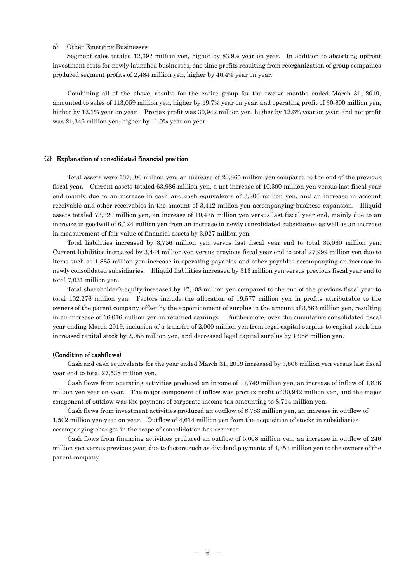### 5) Other Emerging Businesses

 Segment sales totaled 12,692 million yen, higher by 83.9% year on year. In addition to absorbing upfront investment costs for newly launched businesses, one time profits resulting from reorganization of group companies produced segment profits of 2,484 million yen, higher by 46.4% year on year.

Combining all of the above, results for the entire group for the twelve months ended March 31, 2019, amounted to sales of 113,059 million yen, higher by 19.7% year on year, and operating profit of 30,800 million yen, higher by 12.1% year on year. Pre-tax profit was 30,942 million yen, higher by 12.6% year on year, and net profit was 21,346 million yen, higher by 11.0% year on year.

#### (2) Explanation of consolidated financial position

Total assets were 137,306 million yen, an increase of 20,865 million yen compared to the end of the previous fiscal year. Current assets totaled 63,986 million yen, a net increase of 10,390 million yen versus last fiscal year end mainly due to an increase in cash and cash equivalents of 3,806 million yen, and an increase in account receivable and other receivables in the amount of 3,412 million yen accompanying business expansion. Illiquid assets totaled 73,320 million yen, an increase of 10,475 million yen versus last fiscal year end, mainly due to an increase in goodwill of 6,124 million yen from an increase in newly consolidated subsidiaries as well as an increase in measurement of fair value of financial assets by 3,927 million yen.

Total liabilities increased by 3,756 million yen versus last fiscal year end to total 35,030 million yen. Current liabilities increased by 3,444 million yen versus previous fiscal year end to total 27,999 million yen due to items such as 1,885 million yen increase in operating payables and other payables accompanying an increase in newly consolidated subsidiaries. Illiquid liabilities increased by 313 million yen versus previous fiscal year end to total 7,031 million yen.

Total shareholder's equity increased by 17,108 million yen compared to the end of the previous fiscal year to total 102,276 million yen. Factors include the allocation of 19,577 million yen in profits attributable to the owners of the parent company, offset by the apportionment of surplus in the amount of 3,563 million yen, resulting in an increase of 16,016 million yen in retained earnings. Furthermore, over the cumulative consolidated fiscal year ending March 2019, inclusion of a transfer of 2,000 million yen from legal capital surplus to capital stock has increased capital stock by 2,055 million yen, and decreased legal capital surplus by 1,958 million yen.

#### (Condition of cashflows)

Cash and cash equivalents for the year ended March 31, 2019 increased by 3,806 million yen versus last fiscal year end to total 27,538 million yen.

Cash flows from operating activities produced an income of 17,749 million yen, an increase of inflow of 1,836 million yen year on year. The major component of inflow was pre-tax profit of 30,942 million yen, and the major component of outflow was the payment of corporate income tax amounting to 8,714 million yen.

Cash flows from investment activities produced an outflow of 8,783 million yen, an increase in outflow of 1,502 million yen year on year. Outflow of 4,614 million yen from the acquisition of stocks in subsidiaries accompanying changes in the scope of consolidation has occurred.

Cash flows from financing activities produced an outflow of 5,008 million yen, an increase in outflow of 246 million yen versus previous year, due to factors such as dividend payments of 3,353 million yen to the owners of the parent company.